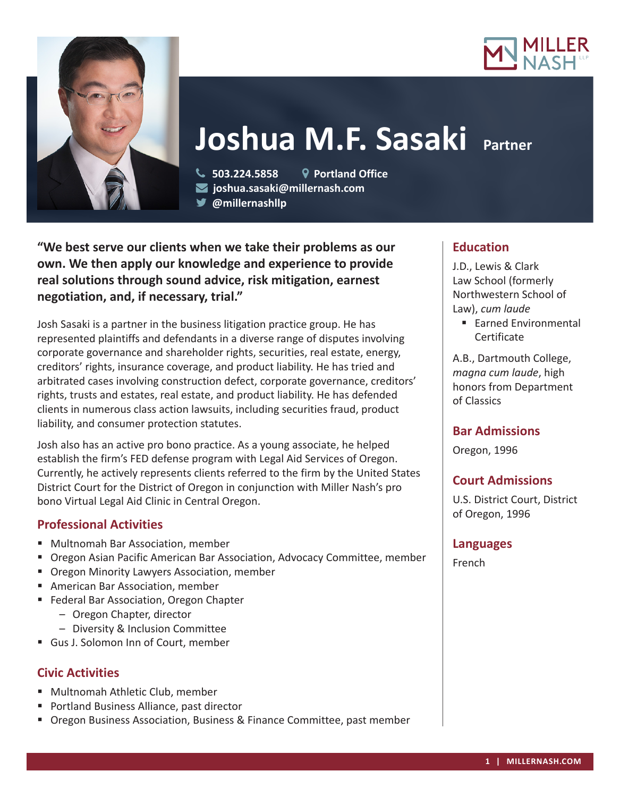



# **Joshua M.F. Sasaki Partner**

 **503.224.5858 Portland Office joshua.sasaki@millernash.com** 

**@millernashllp** 

**"We best serve our clients when we take their problems as our own. We then apply our knowledge and experience to provide real solutions through sound advice, risk mitigation, earnest negotiation, and, if necessary, trial."**

Josh Sasaki is a partner in the business litigation practice group. He has represented plaintiffs and defendants in a diverse range of disputes involving corporate governance and shareholder rights, securities, real estate, energy, creditors' rights, insurance coverage, and product liability. He has tried and arbitrated cases involving construction defect, corporate governance, creditors' rights, trusts and estates, real estate, and product liability. He has defended clients in numerous class action lawsuits, including securities fraud, product liability, and consumer protection statutes.

Josh also has an active pro bono practice. As a young associate, he helped establish the firm's FED defense program with Legal Aid Services of Oregon. Currently, he actively represents clients referred to the firm by the United States District Court for the District of Oregon in conjunction with Miller Nash's pro bono Virtual Legal Aid Clinic in Central Oregon.

# **Professional Activities**

- Multnomah Bar Association, member
- Oregon Asian Pacific American Bar Association, Advocacy Committee, member
- **Oregon Minority Lawyers Association, member**
- American Bar Association, member
- Federal Bar Association, Oregon Chapter
	- Oregon Chapter, director
	- Diversity & Inclusion Committee
- Gus J. Solomon Inn of Court, member

# **Civic Activities**

- Multnomah Athletic Club, member
- **Portland Business Alliance, past director**
- **Diana Business Association, Business & Finance Committee, past member**

# **Education**

J.D., Lewis & Clark Law School (formerly Northwestern School of Law), *cum laude*

■ Earned Environmental Certificate

A.B., Dartmouth College, *magna cum laude*, high honors from Department of Classics

# **Bar Admissions**

Oregon, 1996

# **Court Admissions**

U.S. District Court, District of Oregon, 1996

# **Languages**

French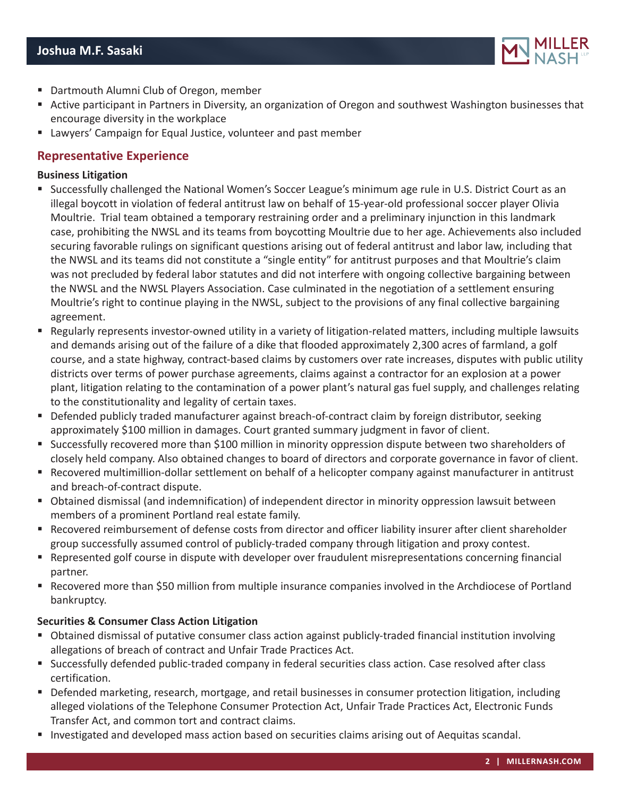

- Dartmouth Alumni Club of Oregon, member
- Active participant in Partners in Diversity, an organization of Oregon and southwest Washington businesses that encourage diversity in the workplace
- Lawyers' Campaign for Equal Justice, volunteer and past member

# **Representative Experience**

#### **Business Litigation**

- Successfully challenged the National Women's Soccer League's minimum age rule in U.S. District Court as an illegal boycott in violation of federal antitrust law on behalf of 15-year-old professional soccer player Olivia Moultrie. Trial team obtained a temporary restraining order and a preliminary injunction in this landmark case, prohibiting the NWSL and its teams from boycotting Moultrie due to her age. Achievements also included securing favorable rulings on significant questions arising out of federal antitrust and labor law, including that the NWSL and its teams did not constitute a "single entity" for antitrust purposes and that Moultrie's claim was not precluded by federal labor statutes and did not interfere with ongoing collective bargaining between the NWSL and the NWSL Players Association. Case culminated in the negotiation of a settlement ensuring Moultrie's right to continue playing in the NWSL, subject to the provisions of any final collective bargaining agreement.
- Regularly represents investor-owned utility in a variety of litigation-related matters, including multiple lawsuits and demands arising out of the failure of a dike that flooded approximately 2,300 acres of farmland, a golf course, and a state highway, contract-based claims by customers over rate increases, disputes with public utility districts over terms of power purchase agreements, claims against a contractor for an explosion at a power plant, litigation relating to the contamination of a power plant's natural gas fuel supply, and challenges relating to the constitutionality and legality of certain taxes.
- Defended publicly traded manufacturer against breach-of-contract claim by foreign distributor, seeking approximately \$100 million in damages. Court granted summary judgment in favor of client.
- Successfully recovered more than \$100 million in minority oppression dispute between two shareholders of closely held company. Also obtained changes to board of directors and corporate governance in favor of client.
- Recovered multimillion-dollar settlement on behalf of a helicopter company against manufacturer in antitrust and breach-of-contract dispute.
- Obtained dismissal (and indemnification) of independent director in minority oppression lawsuit between members of a prominent Portland real estate family.
- Recovered reimbursement of defense costs from director and officer liability insurer after client shareholder group successfully assumed control of publicly-traded company through litigation and proxy contest.
- Represented golf course in dispute with developer over fraudulent misrepresentations concerning financial partner.
- Recovered more than \$50 million from multiple insurance companies involved in the Archdiocese of Portland bankruptcy.

#### **Securities & Consumer Class Action Litigation**

- Obtained dismissal of putative consumer class action against publicly-traded financial institution involving allegations of breach of contract and Unfair Trade Practices Act.
- Successfully defended public-traded company in federal securities class action. Case resolved after class certification.
- **Defended marketing, research, mortgage, and retail businesses in consumer protection litigation, including** alleged violations of the Telephone Consumer Protection Act, Unfair Trade Practices Act, Electronic Funds Transfer Act, and common tort and contract claims.
- **Investigated and developed mass action based on securities claims arising out of Aequitas scandal.**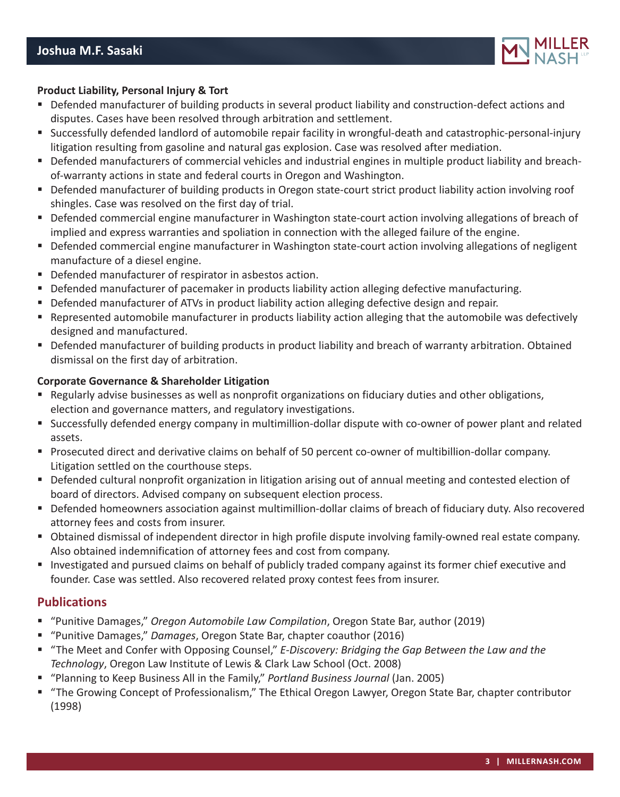

#### **Product Liability, Personal Injury & Tort**

- Defended manufacturer of building products in several product liability and construction-defect actions and disputes. Cases have been resolved through arbitration and settlement.
- Successfully defended landlord of automobile repair facility in wrongful-death and catastrophic-personal-injury litigation resulting from gasoline and natural gas explosion. Case was resolved after mediation.
- Defended manufacturers of commercial vehicles and industrial engines in multiple product liability and breachof-warranty actions in state and federal courts in Oregon and Washington.
- Defended manufacturer of building products in Oregon state-court strict product liability action involving roof shingles. Case was resolved on the first day of trial.
- Defended commercial engine manufacturer in Washington state-court action involving allegations of breach of implied and express warranties and spoliation in connection with the alleged failure of the engine.
- Defended commercial engine manufacturer in Washington state-court action involving allegations of negligent manufacture of a diesel engine.
- Defended manufacturer of respirator in asbestos action.
- **Defended manufacturer of pacemaker in products liability action alleging defective manufacturing.**
- **Defended manufacturer of ATVs in product liability action alleging defective design and repair.**
- Represented automobile manufacturer in products liability action alleging that the automobile was defectively designed and manufactured.
- Defended manufacturer of building products in product liability and breach of warranty arbitration. Obtained dismissal on the first day of arbitration.

#### **Corporate Governance & Shareholder Litigation**

- Regularly advise businesses as well as nonprofit organizations on fiduciary duties and other obligations, election and governance matters, and regulatory investigations.
- Successfully defended energy company in multimillion-dollar dispute with co-owner of power plant and related assets.
- Prosecuted direct and derivative claims on behalf of 50 percent co-owner of multibillion-dollar company. Litigation settled on the courthouse steps.
- Defended cultural nonprofit organization in litigation arising out of annual meeting and contested election of board of directors. Advised company on subsequent election process.
- Defended homeowners association against multimillion-dollar claims of breach of fiduciary duty. Also recovered attorney fees and costs from insurer.
- Obtained dismissal of independent director in high profile dispute involving family-owned real estate company. Also obtained indemnification of attorney fees and cost from company.
- Investigated and pursued claims on behalf of publicly traded company against its former chief executive and founder. Case was settled. Also recovered related proxy contest fees from insurer.

### **Publications**

- "Punitive Damages," *Oregon Automobile Law Compilation*, Oregon State Bar, author (2019)
- "Punitive Damages," *Damages*, Oregon State Bar, chapter coauthor (2016)
- "The Meet and Confer with Opposing Counsel," *E-Discovery: Bridging the Gap Between the Law and the Technology*, Oregon Law Institute of Lewis & Clark Law School (Oct. 2008)
- "Planning to Keep Business All in the Family," *Portland Business Journal* (Jan. 2005)
- "The Growing Concept of Professionalism," The Ethical Oregon Lawyer, Oregon State Bar, chapter contributor (1998)